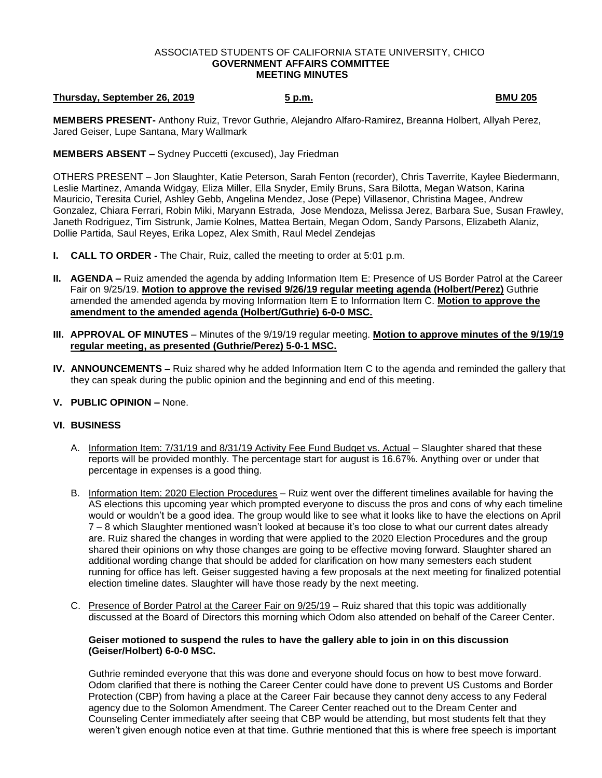#### ASSOCIATED STUDENTS OF CALIFORNIA STATE UNIVERSITY, CHICO **GOVERNMENT AFFAIRS COMMITTEE MEETING MINUTES**

# **Thursday, September 26, 2019 5 p.m. BMU 205**

**MEMBERS PRESENT-** Anthony Ruiz, Trevor Guthrie, Alejandro Alfaro-Ramirez, Breanna Holbert, Allyah Perez, Jared Geiser, Lupe Santana, Mary Wallmark

**MEMBERS ABSENT –** Sydney Puccetti (excused), Jay Friedman

OTHERS PRESENT – Jon Slaughter, Katie Peterson, Sarah Fenton (recorder), Chris Taverrite, Kaylee Biedermann, Leslie Martinez, Amanda Widgay, Eliza Miller, Ella Snyder, Emily Bruns, Sara Bilotta, Megan Watson, Karina Mauricio, Teresita Curiel, Ashley Gebb, Angelina Mendez, Jose (Pepe) Villasenor, Christina Magee, Andrew Gonzalez, Chiara Ferrari, Robin Miki, Maryann Estrada, Jose Mendoza, Melissa Jerez, Barbara Sue, Susan Frawley, Janeth Rodriguez, Tim Sistrunk, Jamie Kolnes, Mattea Bertain, Megan Odom, Sandy Parsons, Elizabeth Alaniz, Dollie Partida, Saul Reyes, Erika Lopez, Alex Smith, Raul Medel Zendejas

- **I. CALL TO ORDER -** The Chair, Ruiz, called the meeting to order at 5:01 p.m.
- **II. AGENDA –** Ruiz amended the agenda by adding Information Item E: Presence of US Border Patrol at the Career Fair on 9/25/19. **Motion to approve the revised 9/26/19 regular meeting agenda (Holbert/Perez)** Guthrie amended the amended agenda by moving Information Item E to Information Item C. **Motion to approve the amendment to the amended agenda (Holbert/Guthrie) 6-0-0 MSC.**
- **III. APPROVAL OF MINUTES** Minutes of the 9/19/19 regular meeting. **Motion to approve minutes of the 9/19/19 regular meeting, as presented (Guthrie/Perez) 5-0-1 MSC.**
- **IV. ANNOUNCEMENTS –** Ruiz shared why he added Information Item C to the agenda and reminded the gallery that they can speak during the public opinion and the beginning and end of this meeting.
- **V. PUBLIC OPINION –** None.

# **VI. BUSINESS**

- A. Information Item: 7/31/19 and 8/31/19 Activity Fee Fund Budget vs. Actual Slaughter shared that these reports will be provided monthly. The percentage start for august is 16.67%. Anything over or under that percentage in expenses is a good thing.
- B. Information Item: 2020 Election Procedures Ruiz went over the different timelines available for having the AS elections this upcoming year which prompted everyone to discuss the pros and cons of why each timeline would or wouldn't be a good idea. The group would like to see what it looks like to have the elections on April 7 – 8 which Slaughter mentioned wasn't looked at because it's too close to what our current dates already are. Ruiz shared the changes in wording that were applied to the 2020 Election Procedures and the group shared their opinions on why those changes are going to be effective moving forward. Slaughter shared an additional wording change that should be added for clarification on how many semesters each student running for office has left. Geiser suggested having a few proposals at the next meeting for finalized potential election timeline dates. Slaughter will have those ready by the next meeting.
- C. Presence of Border Patrol at the Career Fair on 9/25/19 Ruiz shared that this topic was additionally discussed at the Board of Directors this morning which Odom also attended on behalf of the Career Center.

### **Geiser motioned to suspend the rules to have the gallery able to join in on this discussion (Geiser/Holbert) 6-0-0 MSC.**

Guthrie reminded everyone that this was done and everyone should focus on how to best move forward. Odom clarified that there is nothing the Career Center could have done to prevent US Customs and Border Protection (CBP) from having a place at the Career Fair because they cannot deny access to any Federal agency due to the Solomon Amendment. The Career Center reached out to the Dream Center and Counseling Center immediately after seeing that CBP would be attending, but most students felt that they weren't given enough notice even at that time. Guthrie mentioned that this is where free speech is important